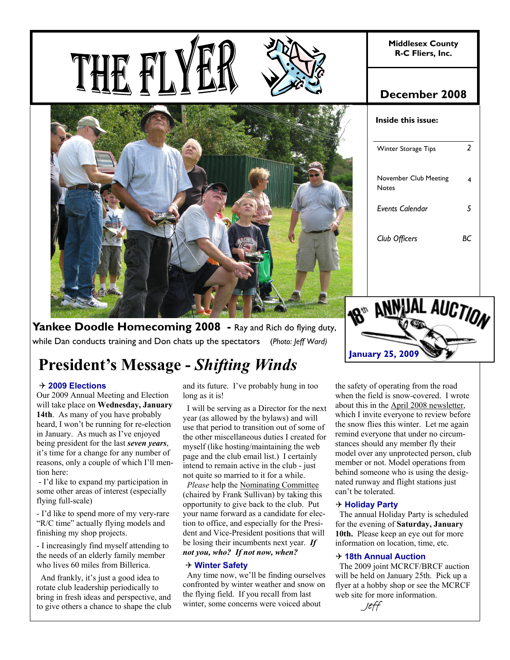**Middlesex County R-C Fliers, Inc.** 







# **December 2008**

| Inside this issue:             |    |  |  |  |  |  |
|--------------------------------|----|--|--|--|--|--|
| Winter Storage Tips            | 2  |  |  |  |  |  |
| November Club Meeting<br>Notes | 4  |  |  |  |  |  |
| Events Calendar                | 5  |  |  |  |  |  |
| Club Officers                  | BС |  |  |  |  |  |
|                                |    |  |  |  |  |  |

**Yankee Doodle Homecoming 2008** - Ray and Rich do flying duty, while Dan conducts training and Don chats up the spectators (*Photo: Jeff Ward)*

# **President's Message -** *Shifting Winds*

#### 4 **2009 Elections**

Our 2009 Annual Meeting and Election will take place on **Wednesday, January 14th**. As many of you have probably heard, I won't be running for re-election in January. As much as I've enjoyed being president for the last *seven years*, it's time for a change for any number of reasons, only a couple of which I'll mention here:

 - I'd like to expand my participation in some other areas of interest (especially flying full-scale)

- I'd like to spend more of my very-rare "R/C time" actually flying models and finishing my shop projects.

- I increasingly find myself attending to the needs of an elderly family member who lives 60 miles from Billerica.

 And frankly, it's just a good idea to rotate club leadership periodically to bring in fresh ideas and perspective, and to give others a chance to shape the club and its future. I've probably hung in too long as it is!

 I will be serving as a Director for the next year (as allowed by the bylaws) and will use that period to transition out of some of the other miscellaneous duties I created for myself (like hosting/maintaining the web page and the club email list.) I certainly intend to remain active in the club - just not quite so married to it for a while.

 *Please* help the Nominating Committee (chaired by Frank Sullivan) by taking this opportunity to give back to the club. Put your name forward as a candidate for election to office, and especially for the President and Vice-President positions that will be losing their incumbents next year. *If not you, who? If not now, when?* 

#### 4 **Winter Safety**

 Any time now, we'll be finding ourselves confronted by winter weather and snow on the flying field. If you recall from last winter, some concerns were voiced about

AL AUCTION **January 25, 2009** 

the safety of operating from the road when the field is snow-covered. I wrote about this in the April 2008 newsletter, which I invite everyone to review before the snow flies this winter. Let me again remind everyone that under no circumstances should any member fly their model over any unprotected person, club member or not. Model operations from behind someone who is using the designated runway and flight stations just can't be tolerated.

#### 4 **Holiday Party**

 The annual Holiday Party is scheduled for the evening of **Saturday, January 10th.** Please keep an eye out for more information on location, time, etc.

#### 4 **18th Annual Auction**

 The 2009 joint MCRCF/BRCF auction will be held on January 25th. Pick up a flyer at a hobby shop or see the MCRCF web site for more information.

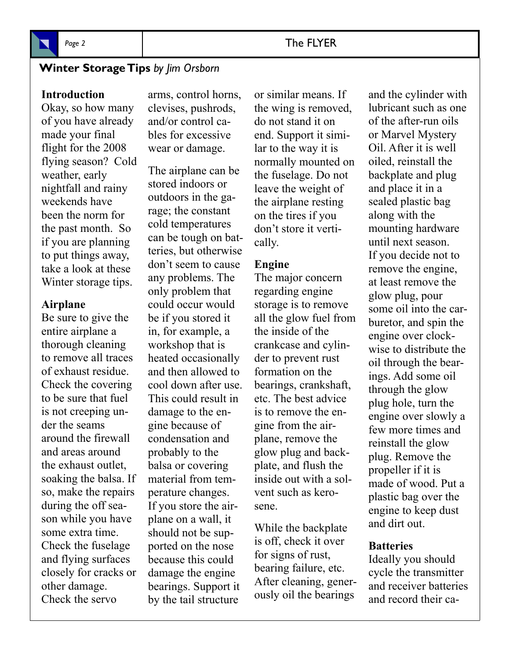

# Page 2 and 2 and 2 and 2 and 2 and 2 and 2 and 2 and 2 and 2 and 2 and 2 and 2 and 2 and 2 and 2 and 2 and 2 and 2 and 2 and 2 and 2 and 2 and 2 and 2 and 2 and 2 and 2 and 2 and 2 and 2 and 2 and 2 and 2 and 2 and 2 and 2

# **Winter Storage Tips** *by Jim Orsborn*

#### **Introduction**

Okay, so how many of you have already made your final flight for the 2008 flying season? Cold weather, early nightfall and rainy weekends have been the norm for the past month. So if you are planning to put things away, take a look at these Winter storage tips.

#### **Airplane**

Be sure to give the entire airplane a thorough cleaning to remove all traces of exhaust residue. Check the covering to be sure that fuel is not creeping under the seams around the firewall and areas around the exhaust outlet, soaking the balsa. If so, make the repairs during the off season while you have some extra time. Check the fuselage and flying surfaces closely for cracks or other damage. Check the servo

arms, control horns, clevises, pushrods, and/or control cables for excessive wear or damage.

The airplane can be stored indoors or outdoors in the garage; the constant cold temperatures can be tough on batteries, but otherwise don't seem to cause any problems. The only problem that could occur would be if you stored it in, for example, a workshop that is heated occasionally and then allowed to cool down after use. This could result in damage to the engine because of condensation and probably to the balsa or covering material from temperature changes. If you store the airplane on a wall, it should not be supported on the nose because this could damage the engine bearings. Support it by the tail structure

or similar means. If the wing is removed, do not stand it on end. Support it similar to the way it is normally mounted on the fuselage. Do not leave the weight of the airplane resting on the tires if you don't store it vertically.

#### **Engine**

The major concern regarding engine storage is to remove all the glow fuel from the inside of the crankcase and cylinder to prevent rust formation on the bearings, crankshaft, etc. The best advice is to remove the engine from the airplane, remove the glow plug and backplate, and flush the inside out with a solvent such as kerosene.

While the backplate is off, check it over for signs of rust, bearing failure, etc. After cleaning, generously oil the bearings

and the cylinder with lubricant such as one of the after-run oils or Marvel Mystery Oil. After it is well oiled, reinstall the backplate and plug and place it in a sealed plastic bag along with the mounting hardware until next season. If you decide not to remove the engine, at least remove the glow plug, pour some oil into the carburetor, and spin the engine over clockwise to distribute the oil through the bearings. Add some oil through the glow plug hole, turn the engine over slowly a few more times and reinstall the glow plug. Remove the propeller if it is made of wood. Put a plastic bag over the engine to keep dust and dirt out.

## **Batteries**

Ideally you should cycle the transmitter and receiver batteries and record their ca-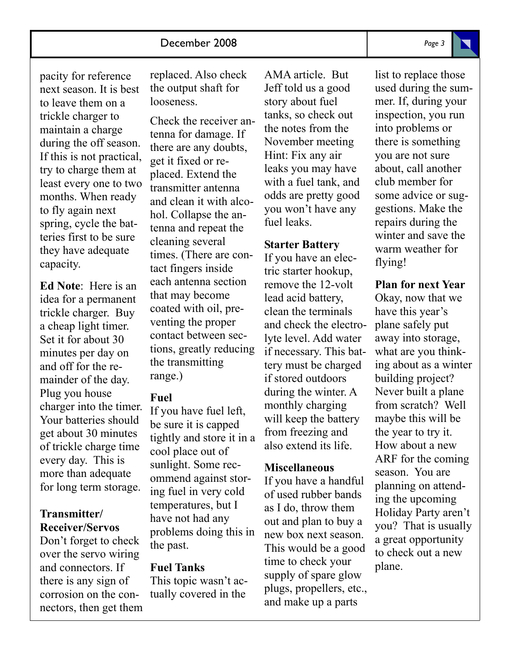pacity for reference next season. It is best to leave them on a trickle charger to maintain a charge during the off season. If this is not practical, try to charge them at least every one to two months. When ready to fly again next spring, cycle the batteries first to be sure they have adequate capacity.

**Ed Note**: Here is an idea for a permanent trickle charger. Buy a cheap light timer. Set it for about 30 minutes per day on and off for the remainder of the day. Plug you house charger into the timer. Your batteries should get about 30 minutes of trickle charge time every day. This is more than adequate for long term storage.

## **Transmitter/ Receiver/Servos**

Don't forget to check over the servo wiring and connectors. If there is any sign of corrosion on the connectors, then get them replaced. Also check the output shaft for looseness.

Check the receiver antenna for damage. If there are any doubts, get it fixed or replaced. Extend the transmitter antenna and clean it with alcohol. Collapse the antenna and repeat the cleaning several times. (There are contact fingers inside each antenna section that may become coated with oil, preventing the proper contact between sections, greatly reducing the transmitting range.)

## **Fuel**

If you have fuel left, be sure it is capped tightly and store it in a cool place out of sunlight. Some recommend against storing fuel in very cold temperatures, but I have not had any problems doing this in the past.

# **Fuel Tanks**

This topic wasn't actually covered in the

AMA article. But Jeff told us a good story about fuel tanks, so check out the notes from the November meeting Hint: Fix any air leaks you may have with a fuel tank, and odds are pretty good you won't have any fuel leaks.

# **Starter Battery**

If you have an electric starter hookup, remove the 12-volt lead acid battery, clean the terminals and check the electrolyte level. Add water if necessary. This battery must be charged if stored outdoors during the winter. A monthly charging will keep the battery from freezing and also extend its life.

## **Miscellaneous**

If you have a handful of used rubber bands as I do, throw them out and plan to buy a new box next season. This would be a good time to check your supply of spare glow plugs, propellers, etc., and make up a parts

list to replace those used during the summer. If, during your inspection, you run into problems or there is something you are not sure about, call another club member for some advice or suggestions. Make the repairs during the winter and save the warm weather for flying!

# **Plan for next Year**

Okay, now that we have this year's plane safely put away into storage, what are you thinking about as a winter building project? Never built a plane from scratch? Well maybe this will be the year to try it. How about a new ARF for the coming season. You are planning on attending the upcoming Holiday Party aren't you? That is usually a great opportunity to check out a new plane.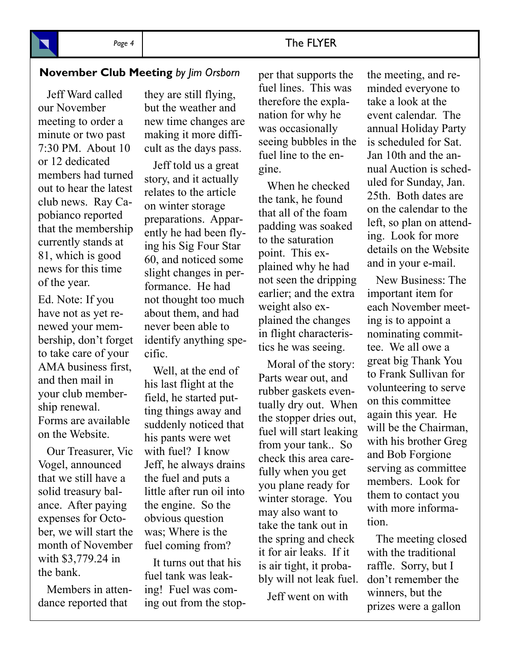# **November Club Meeting** by Jim Orsborn per that supports the the meeting, and re-

 Jeff Ward called our November meeting to order a minute or two past 7:30 PM. About 10 or 12 dedicated members had turned out to hear the latest club news. Ray Capobianco reported that the membership currently stands at 81, which is good news for this time of the year.

Ed. Note: If you have not as yet renewed your membership, don't forget to take care of your AMA business first, and then mail in your club membership renewal. Forms are available on the Website.

 Our Treasurer, Vic Vogel, announced that we still have a solid treasury balance. After paying expenses for October, we will start the month of November with \$3,779.24 in the bank.

 Members in attendance reported that

they are still flying, but the weather and new time changes are making it more difficult as the days pass.

 Jeff told us a great story, and it actually relates to the article on winter storage preparations. Apparently he had been flying his Sig Four Star 60, and noticed some slight changes in performance. He had not thought too much about them, and had never been able to identify anything specific.

 Well, at the end of his last flight at the field, he started putting things away and suddenly noticed that his pants were wet with fuel? I know Jeff, he always drains the fuel and puts a little after run oil into the engine. So the obvious question was; Where is the fuel coming from?

 It turns out that his fuel tank was leaking! Fuel was coming out from the stopper that supports the fuel lines. This was therefore the explanation for why he was occasionally seeing bubbles in the fuel line to the engine.

 When he checked the tank, he found that all of the foam padding was soaked to the saturation point. This explained why he had not seen the dripping earlier; and the extra weight also explained the changes in flight characteristics he was seeing.

 Moral of the story: Parts wear out, and rubber gaskets eventually dry out. When the stopper dries out, fuel will start leaking from your tank.. So check this area carefully when you get you plane ready for winter storage. You may also want to take the tank out in the spring and check it for air leaks. If it is air tight, it probably will not leak fuel.

Jeff went on with

minded everyone to take a look at the event calendar. The annual Holiday Party is scheduled for Sat. Jan 10th and the annual Auction is scheduled for Sunday, Jan. 25th. Both dates are on the calendar to the left, so plan on attending. Look for more details on the Website and in your e-mail.

 New Business: The important item for each November meeting is to appoint a nominating committee. We all owe a great big Thank You to Frank Sullivan for volunteering to serve on this committee again this year. He will be the Chairman, with his brother Greg and Bob Forgione serving as committee members. Look for them to contact you with more information.

 The meeting closed with the traditional raffle. Sorry, but I don't remember the winners, but the prizes were a gallon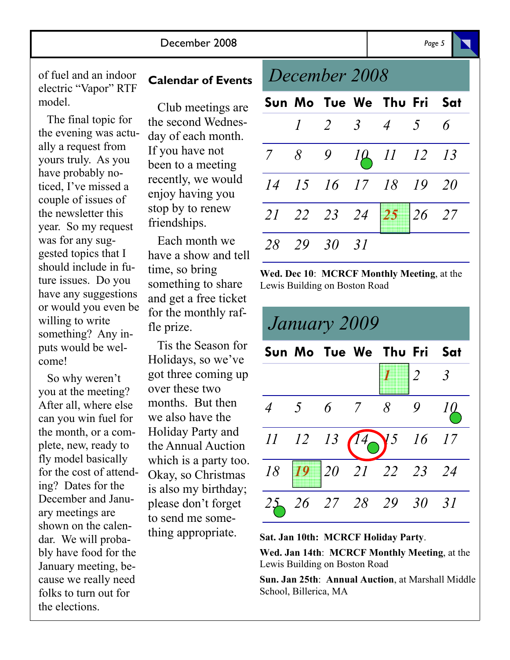The final topic for the evening was actually a request from yours truly. As you have probably noticed, I've missed a couple of issues of the newsletter this year. So my request was for any suggested topics that I should include in future issues. Do you have any suggestions or would you even be willing to write something? Any inputs would be welcome!

 So why weren't you at the meeting? After all, where else can you win fuel for the month, or a complete, new, ready to fly model basically for the cost of attending? Dates for the December and January meetings are shown on the calendar. We will probably have food for the January meeting, because we really need folks to turn out for the elections.

 Club meetings are the second Wednesday of each month. If you have not been to a meeting recently, we would enjoy having you stop by to renew friendships.

 Each month we have a show and tell time, so bring something to share and get a free ticket for the monthly raffle prize.

 Tis the Season for Holidays, so we've got three coming up over these two months. But then we also have the Holiday Party and the Annual Auction which is a party too. Okay, so Christmas is also my birthday; please don't forget to send me something appropriate.

# *December 2008*

|  |             | Sun Mo Tue We Thu Fri Sat |  |
|--|-------------|---------------------------|--|
|  |             | $1$ 2 3 4 5 6             |  |
|  |             | 7 8 9 10 11 12 13         |  |
|  |             | 14 15 16 17 18 19 20      |  |
|  |             | 21 22 23 24 25 26 27      |  |
|  | 28 29 30 31 |                           |  |

**Wed. Dec 10**: **MCRCF Monthly Meeting**, at the Lewis Building on Boston Road



#### **Sat. Jan 10th: MCRCF Holiday Party**.

**Wed. Jan 14th**: **MCRCF Monthly Meeting**, at the Lewis Building on Boston Road

**Sun. Jan 25th**: **Annual Auction**, at Marshall Middle School, Billerica, MA